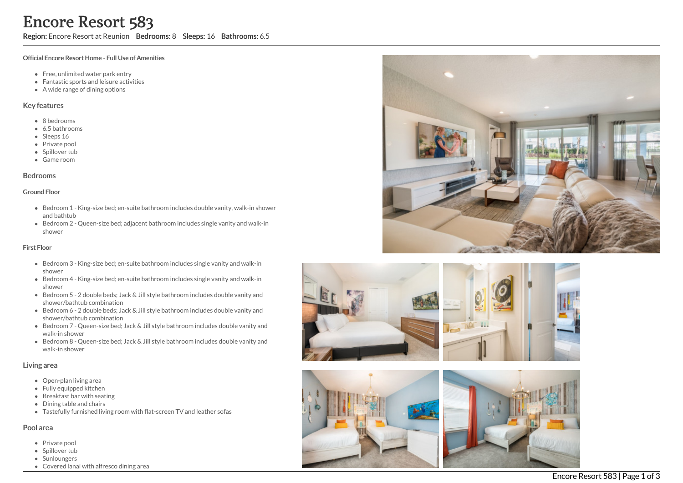Region: Encore Resort at Reunion Bedrooms: 8 Sleeps: 16 Bathrooms: 6.5

#### Official Encore Resort Home - Full Use of Amenities

- Free, unlimited water park entry
- Fantastic sports and leisure activities
- A wide range of dining options

### Key features

- 8 b e d r o o m s
- 6.5 b a t h r o o m s
- Sleeps 16
- Private pool
- Spillover tub
- Game room

### **Bedrooms**

#### Ground Floor

- Bedroom 1 King-size bed; en-suite bathroom includes double vanity, walk-in shower and bathtub
- Bedroom 2 Queen-size bed; adjacent bathroom includes single vanity and walk-in s h o w e r

### First Floor

- Bedroom 3 King-size bed; en-suite bathroom includes single vanity and walk-in s h o w e r
- Bedroom 4 King-size bed; en-suite bathroom includes single vanity and walk-in s h o w e r
- Bedroom 5 2 double beds; Jack & Jill style bathroom includes double vanity and shower/bathtub combination
- Bedroom 6 2 double beds; Jack & Jill style bathroom includes double vanity and shower/bathtub combination
- Bedroom 7 Queen-size bed; Jack & Jill style bathroom includes double vanity and walk-in shower
- Bedroom 8 Queen-size bed; Jack & Jill style bathroom includes double vanity and walk-in shower

## Living area

- Open-plan living area
- Fully equipped kitchen
- Breakfast bar with seating
- Dining table and chairs
- Tastefully furnished living room with flat-screen TV and leather sofas

## Pool area

- Private pool
- Spillover tub
- Sunloungers
- Covered lanai with alfresco dining area









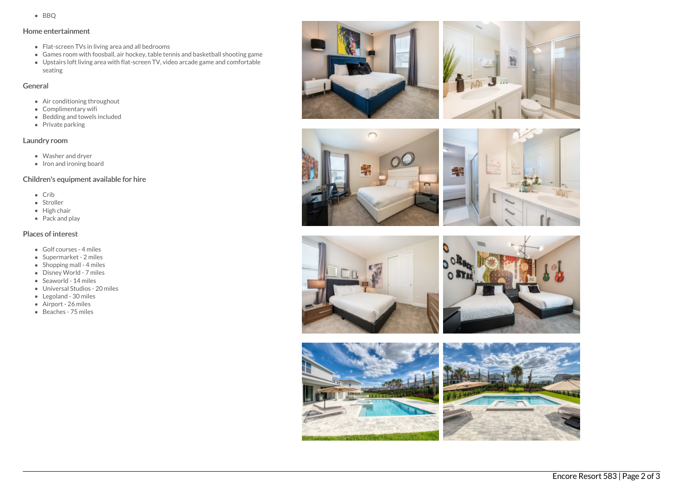• BBO

## Home entertainment

- Flat-screen TVs in living area and all bedrooms
- Games room with foosball, air hockey, table tennis and basketball shooting game
- Upstairs loft living area with flat-screen TV, video arcade game and comfortable seating

## General

- Air conditioning throughout
- Complimentary wifi
- Bedding and towels included
- Private parking

# Laundry room

- Washer and dryer
- $\bullet$  Iron and ironing board

# Children's equipment available for hire

- $\bullet$  Crib
- Stroller
- High chair
- Pack and play

## Places of interest

- Golf courses 4 miles
- Supermarket 2 miles
- $\bullet$  Shopping mall 4 miles
- Disney World 7 miles
- Seaworld 14 miles
- Universal Studios 20 miles
- Legoland 30 miles
- Airport 26 miles
- Beaches 75 miles